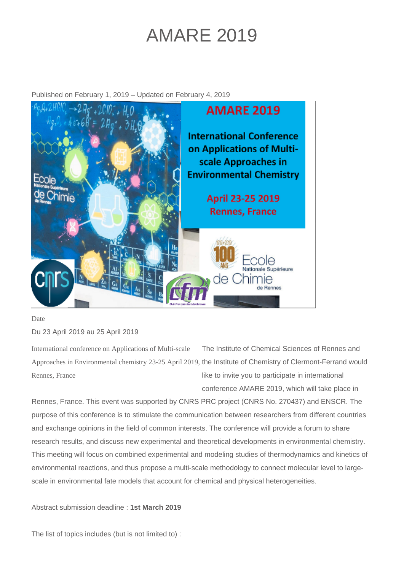## AMARE 2019

Published on February 1, 2019 – Updated on February 4, 2019



Date

Du 23 April 2019 au 25 April 2019

International conference on Applications of Multi-scale Approaches in Environmental chemistry 23-25 April 2019, the Institute of Chemistry of Clermont-Ferrand would Rennes, France The Institute of Chemical Sciences of Rennes and like to invite you to participate in international

conference AMARE 2019, which will take place in

Rennes, France. This event was supported by CNRS PRC project (CNRS No. 270437) and ENSCR. The purpose of this conference is to stimulate the communication between researchers from different countries and exchange opinions in the field of common interests. The conference will provide a forum to share research results, and discuss new experimental and theoretical developments in environmental chemistry. This meeting will focus on combined experimental and modeling studies of thermodynamics and kinetics of environmental reactions, and thus propose a multi-scale methodology to connect molecular level to largescale in environmental fate models that account for chemical and physical heterogeneities.

Abstract submission deadline : **1st March 2019**

The list of topics includes (but is not limited to) :